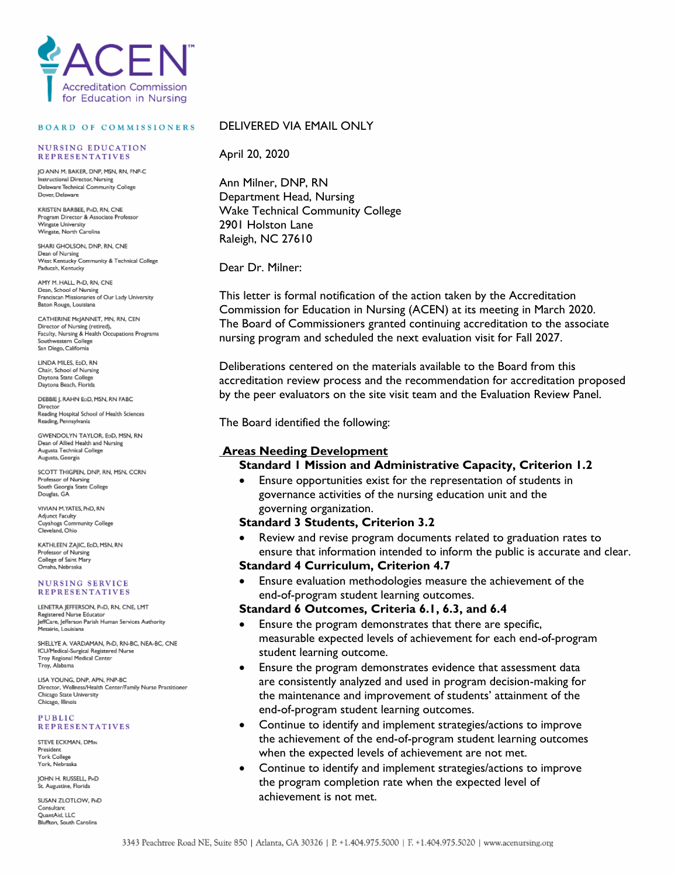

#### **BOARD OF COMMISSIONERS**

#### **NURSING EDUCATION REPRESENTATIVES**

IO ANN M RAKER DNP MSN RN FNP.C Instructional Director, Nursing Delaware Technical Community College Dover Delaware

KRISTEN BARREE PuD RN CNE Program Director & Associate Professor Wingate University Wingate, North Carolina

SHARI GHOLSON, DNP, RN, CNE Dean of Nursing<br>West Kentucky Community & Technical College Paducah, Kentucky

AMY M. HALL, P-D. RN. CNF Dean, School of Nursing Franciscan Missionaries of Our Lady University Baton Rouge, Louisiana

CATHERINE McJANNET, MN, RN, CEN Director of Nursing (retired),<br>Faculty, Nursing & Health Occupations Programs Southwestern College San Diego, California

LINDA MILES, EDD, RN Chair, School of Nursing<br>Daytona State College Daytona Beach, Florida

DEBBIE I. RAHN ESD. MSN. RN FABC Director Birector<br>Reading Hospital School of Health Sciences Reading, Pennsylvania

GWENDOLYN TAYLOR, EpD, MSN, RN Dean of Allied Health and Nursing Sean of Filled Freaturiate Augusta, Georgia

SCOTT THIGPEN, DNP, RN, MSN, CCRN Professor of Nursing South Georgia State College<br>Douglas, GA

VIVIAN M.YATES, PHD, RN Adjunct Faculty<br>Cuyahoga Community College Cleveland, Ohio

KATHLEEN ZAIIC, EpD, MSN, RN Professor of Nursing College of Saint Mary Omaha, Nebraska

#### **NURSING SERVICE REPRESENTATIVES**

LENETRA JEFFERSON, PHD, RN, CNE, LMT Registered Nurse Educator JeffCare, Jefferson Parish Human Services Authority Metairie, Louisiana

SHELLYE A. VARDAMAN, PHD, RN-BC, NEA-BC, CNE ICU/Medical-Surgical Registered Nurse<br>Troy Regional Medical Center Troy, Alabama

LISA YOUNG, DNP, APN, FNP-BC Director, Wellness/Health Center/Family Nurse Practitioner Chicago State University Chicago, Illinois

#### **PUBLIC REPRESENTATIVES**

STEVE ECKMAN, DMIN President York College York, Nebraska

**IOHN H. RUSSELL, PHD** .<br>St. Augustine, Florida

SUSAN ZLOTLOW, PHD Consultant QuantAid, LLC Bluffton, South Carolina

### DELIVERED VIA EMAIL ONLY

April 20, 2020

Ann Milner, DNP, RN Department Head, Nursing Wake Technical Community College 2901 Holston Lane Raleigh, NC 27610

Dear Dr. Milner:

This letter is formal notification of the action taken by the Accreditation Commission for Education in Nursing (ACEN) at its meeting in March 2020. The Board of Commissioners granted continuing accreditation to the associate nursing program and scheduled the next evaluation visit for Fall 2027.

Deliberations centered on the materials available to the Board from this accreditation review process and the recommendation for accreditation proposed by the peer evaluators on the site visit team and the Evaluation Review Panel.

The Board identified the following:

### **Areas Needing Development**

### **Standard 1 Mission and Administrative Capacity, Criterion 1.2**

• Ensure opportunities exist for the representation of students in governance activities of the nursing education unit and the governing organization.

### **Standard 3 Students, Criterion 3.2**

• Review and revise program documents related to graduation rates to ensure that information intended to inform the public is accurate and clear.

## **Standard 4 Curriculum, Criterion 4.7**

• Ensure evaluation methodologies measure the achievement of the end-of-program student learning outcomes.

### **Standard 6 Outcomes, Criteria 6.1, 6.3, and 6.4**

- Ensure the program demonstrates that there are specific, measurable expected levels of achievement for each end-of-program student learning outcome.
- Ensure the program demonstrates evidence that assessment data are consistently analyzed and used in program decision-making for the maintenance and improvement of students' attainment of the end-of-program student learning outcomes.
- Continue to identify and implement strategies/actions to improve the achievement of the end-of-program student learning outcomes when the expected levels of achievement are not met.
- Continue to identify and implement strategies/actions to improve the program completion rate when the expected level of achievement is not met.